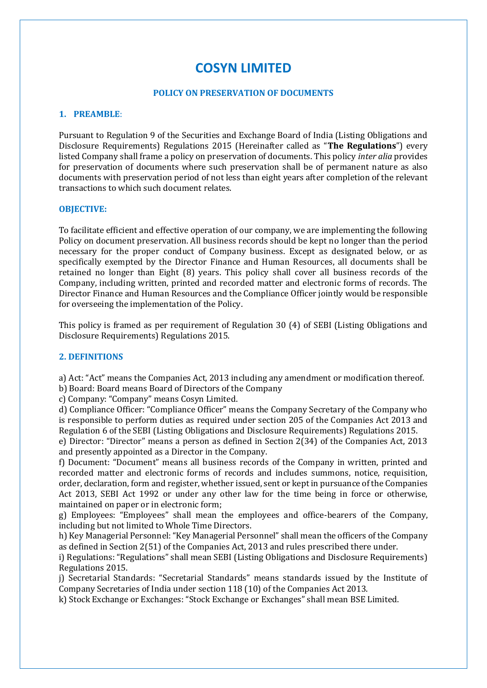# **COSYN LIMITED**

## **POLICY ON PRESERVATION OF DOCUMENTS**

## **1. PREAMBLE**:

Pursuant to Regulation 9 of the Securities and Exchange Board of India (Listing Obligations and Disclosure Requirements) Regulations 2015 (Hereinafter called as "**The Regulations**") every listed Company shall frame a policy on preservation of documents. This policy *inter alia* provides for preservation of documents where such preservation shall be of permanent nature as also documents with preservation period of not less than eight years after completion of the relevant transactions to which such document relates.

#### **OBJECTIVE:**

To facilitate efficient and effective operation of our company, we are implementing the following Policy on document preservation. All business records should be kept no longer than the period necessary for the proper conduct of Company business. Except as designated below, or as specifically exempted by the Director Finance and Human Resources, all documents shall be retained no longer than Eight (8) years. This policy shall cover all business records of the Company, including written, printed and recorded matter and electronic forms of records. The Director Finance and Human Resources and the Compliance Officer jointly would be responsible for overseeing the implementation of the Policy.

This policy is framed as per requirement of Regulation 30 (4) of SEBI (Listing Obligations and Disclosure Requirements) Regulations 2015.

# **2. DEFINITIONS**

a) Act: "Act" means the Companies Act, 2013 including any amendment or modification thereof.

b) Board: Board means Board of Directors of the Company

c) Company: "Company" means Cosyn Limited.

d) Compliance Officer: "Compliance Officer" means the Company Secretary of the Company who is responsible to perform duties as required under section 205 of the Companies Act 2013 and Regulation 6 of the SEBI (Listing Obligations and Disclosure Requirements) Regulations 2015.

e) Director: "Director" means a person as defined in Section 2(34) of the Companies Act, 2013 and presently appointed as a Director in the Company.

f) Document: "Document" means all business records of the Company in written, printed and recorded matter and electronic forms of records and includes summons, notice, requisition, order, declaration, form and register, whether issued, sent or kept in pursuance of the Companies Act 2013, SEBI Act 1992 or under any other law for the time being in force or otherwise, maintained on paper or in electronic form;

g) Employees: "Employees" shall mean the employees and office-bearers of the Company, including but not limited to Whole Time Directors.

h) Key Managerial Personnel: "Key Managerial Personnel" shall mean the officers of the Company as defined in Section 2(51) of the Companies Act, 2013 and rules prescribed there under.

i) Regulations: "Regulations" shall mean SEBI (Listing Obligations and Disclosure Requirements) Regulations 2015.

j) Secretarial Standards: "Secretarial Standards" means standards issued by the Institute of Company Secretaries of India under section 118 (10) of the Companies Act 2013.

k) Stock Exchange or Exchanges: "Stock Exchange or Exchanges" shall mean BSE Limited.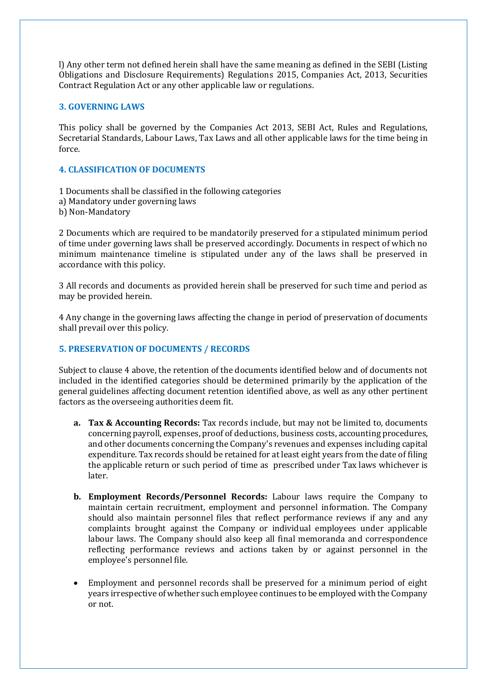l) Any other term not defined herein shall have the same meaning as defined in the SEBI (Listing Obligations and Disclosure Requirements) Regulations 2015, Companies Act, 2013, Securities Contract Regulation Act or any other applicable law or regulations.

# **3. GOVERNING LAWS**

This policy shall be governed by the Companies Act 2013, SEBI Act, Rules and Regulations, Secretarial Standards, Labour Laws, Tax Laws and all other applicable laws for the time being in force.

# **4. CLASSIFICATION OF DOCUMENTS**

1 Documents shall be classified in the following categories a) Mandatory under governing laws

b) Non-Mandatory

2 Documents which are required to be mandatorily preserved for a stipulated minimum period of time under governing laws shall be preserved accordingly. Documents in respect of which no minimum maintenance timeline is stipulated under any of the laws shall be preserved in accordance with this policy.

3 All records and documents as provided herein shall be preserved for such time and period as may be provided herein.

4 Any change in the governing laws affecting the change in period of preservation of documents shall prevail over this policy.

## **5. PRESERVATION OF DOCUMENTS / RECORDS**

Subject to clause 4 above, the retention of the documents identified below and of documents not included in the identified categories should be determined primarily by the application of the general guidelines affecting document retention identified above, as well as any other pertinent factors as the overseeing authorities deem fit.

- **a. Tax & Accounting Records:** Tax records include, but may not be limited to, documents concerning payroll, expenses, proof of deductions, business costs, accounting procedures, and other documents concerning the Company's revenues and expenses including capital expenditure. Tax records should be retained for at least eight years from the date of filing the applicable return or such period of time as prescribed under Tax laws whichever is later.
- **b. Employment Records/Personnel Records:** Labour laws require the Company to maintain certain recruitment, employment and personnel information. The Company should also maintain personnel files that reflect performance reviews if any and any complaints brought against the Company or individual employees under applicable labour laws. The Company should also keep all final memoranda and correspondence reflecting performance reviews and actions taken by or against personnel in the employee's personnel file.
- Employment and personnel records shall be preserved for a minimum period of eight years irrespective of whether such employee continues to be employed with the Company or not.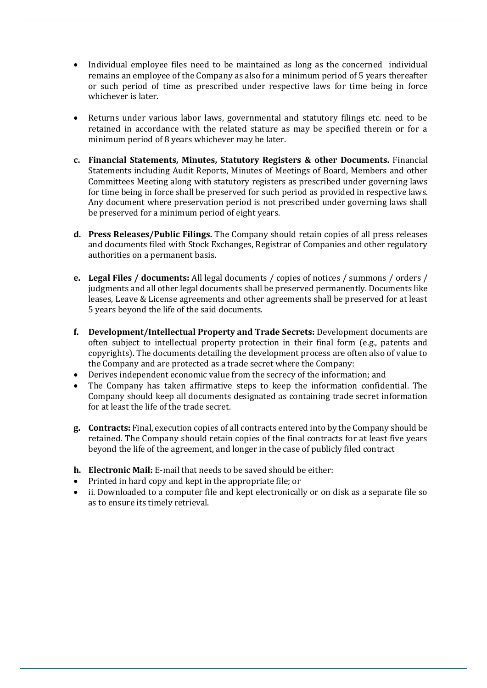- Individual employee files need to be maintained as long as the concerned individual remains an employee of the Company as also for a minimum period of 5 years thereafter or such period of time as prescribed under respective laws for time being in force whichever is later.
- Returns under various labor laws, governmental and statutory filings etc. need to be retained in accordance with the related stature as may be specified therein or for a minimum period of 8 years whichever may be later.
- **c. Financial Statements, Minutes, Statutory Registers & other Documents.** Financial Statements including Audit Reports, Minutes of Meetings of Board, Members and other Committees Meeting along with statutory registers as prescribed under governing laws for time being in force shall be preserved for such period as provided in respective laws. Any document where preservation period is not prescribed under governing laws shall be preserved for a minimum period of eight years.
- **d. Press Releases/Public Filings.** The Company should retain copies of all press releases and documents filed with Stock Exchanges, Registrar of Companies and other regulatory authorities on a permanent basis.
- **e. Legal Files / documents:** All legal documents / copies of notices / summons / orders / judgments and all other legal documents shall be preserved permanently. Documents like leases, Leave & License agreements and other agreements shall be preserved for at least 5 years beyond the life of the said documents.
- **f. Development/Intellectual Property and Trade Secrets:** Development documents are often subject to intellectual property protection in their final form (e.g., patents and copyrights). The documents detailing the development process are often also of value to the Company and are protected as a trade secret where the Company:
- Derives independent economic value from the secrecy of the information; and
- The Company has taken affirmative steps to keep the information confidential. The Company should keep all documents designated as containing trade secret information for at least the life of the trade secret.
- **g. Contracts:** Final, execution copies of all contracts entered into by the Company should be retained. The Company should retain copies of the final contracts for at least five years beyond the life of the agreement, and longer in the case of publicly filed contract
- **h. Electronic Mail:** E-mail that needs to be saved should be either:
- Printed in hard copy and kept in the appropriate file; or
- ii. Downloaded to a computer file and kept electronically or on disk as a separate file so as to ensure its timely retrieval.